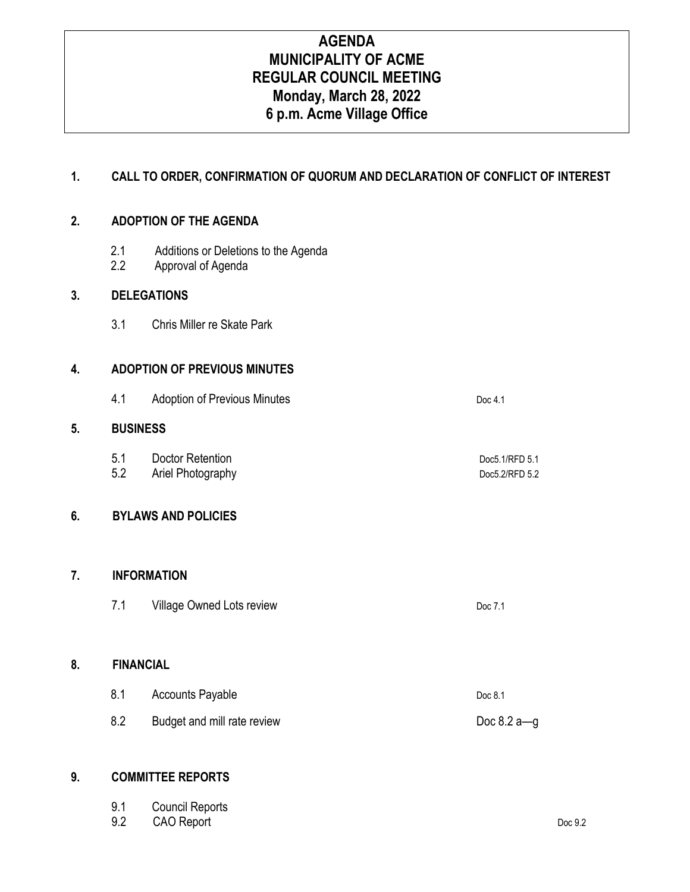# **AGENDA MUNICIPALITY OF ACME REGULAR COUNCIL MEETING Monday, March 28, 2022 6 p.m. Acme Village Office**

## **1. CALL TO ORDER, CONFIRMATION OF QUORUM AND DECLARATION OF CONFLICT OF INTEREST**

#### **2. ADOPTION OF THE AGENDA**

- 2.1 Additions or Deletions to the Agenda
- 2.2 Approval of Agenda

### **3. DELEGATIONS**

3.1 Chris Miller re Skate Park

### **4. ADOPTION OF PREVIOUS MINUTES**

4.1 Adoption of Previous Minutes **Doc 4.1** Doc 4.1

### **5. BUSINESS**

5.1 Doctor Retention **Doctor Retention Doctor Doctor Doctor Doctor Doctor Doctor Doctor Doctor Doctor Doctor Doctor Doctor Doctor Doctor Doctor Doctor Doctor Doctor Doctor Doctor D** 5.2 Ariel Photography Doc5.2/RFD 5.2

## **6. BYLAWS AND POLICIES**

#### **7. INFORMATION**

7.1 Village Owned Lots review Doc 7.1

## **8. FINANCIAL**

8.1 Accounts Payable Doc 8.1 8.2 Budget and mill rate review Doc 8.2 a—g

#### **9. COMMITTEE REPORTS**

| 9.1 Council Reports |         |
|---------------------|---------|
| 9.2 CAO Report      | Doc 9.2 |